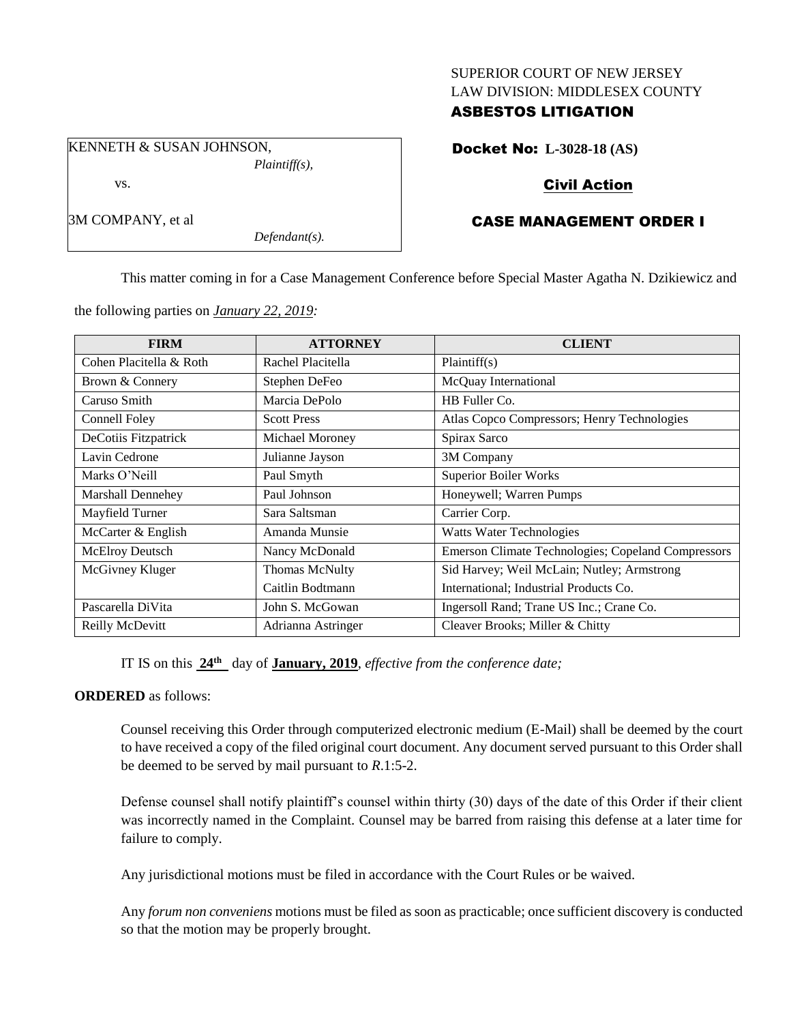### SUPERIOR COURT OF NEW JERSEY LAW DIVISION: MIDDLESEX COUNTY

## ASBESTOS LITIGATION

KENNETH & SUSAN JOHNSON, *Plaintiff(s),*

vs.

3M COMPANY, et al

*Defendant(s).*

Docket No: **L-3028-18 (AS)**

# Civil Action

# CASE MANAGEMENT ORDER I

This matter coming in for a Case Management Conference before Special Master Agatha N. Dzikiewicz and

the following parties on *January 22, 2019:*

| <b>FIRM</b>             | <b>ATTORNEY</b>    | <b>CLIENT</b>                                      |
|-------------------------|--------------------|----------------------------------------------------|
| Cohen Placitella & Roth | Rachel Placitella  | Plaintiff(s)                                       |
| Brown & Connery         | Stephen DeFeo      | McQuay International                               |
| Caruso Smith            | Marcia DePolo      | HB Fuller Co.                                      |
| Connell Foley           | <b>Scott Press</b> | Atlas Copco Compressors; Henry Technologies        |
| DeCotiis Fitzpatrick    | Michael Moroney    | Spirax Sarco                                       |
| Lavin Cedrone           | Julianne Jayson    | 3M Company                                         |
| Marks O'Neill           | Paul Smyth         | Superior Boiler Works                              |
| Marshall Dennehey       | Paul Johnson       | Honeywell; Warren Pumps                            |
| Mayfield Turner         | Sara Saltsman      | Carrier Corp.                                      |
| McCarter & English      | Amanda Munsie      | <b>Watts Water Technologies</b>                    |
| McElroy Deutsch         | Nancy McDonald     | Emerson Climate Technologies; Copeland Compressors |
| McGivney Kluger         | Thomas McNulty     | Sid Harvey; Weil McLain; Nutley; Armstrong         |
|                         | Caitlin Bodtmann   | International; Industrial Products Co.             |
| Pascarella DiVita       | John S. McGowan    | Ingersoll Rand; Trane US Inc.; Crane Co.           |
| Reilly McDevitt         | Adrianna Astringer | Cleaver Brooks; Miller & Chitty                    |

IT IS on this **24 th** day of **January, 2019**, *effective from the conference date;*

### **ORDERED** as follows:

Counsel receiving this Order through computerized electronic medium (E-Mail) shall be deemed by the court to have received a copy of the filed original court document. Any document served pursuant to this Order shall be deemed to be served by mail pursuant to *R*.1:5-2.

Defense counsel shall notify plaintiff's counsel within thirty (30) days of the date of this Order if their client was incorrectly named in the Complaint. Counsel may be barred from raising this defense at a later time for failure to comply.

Any jurisdictional motions must be filed in accordance with the Court Rules or be waived.

Any *forum non conveniens* motions must be filed as soon as practicable; once sufficient discovery is conducted so that the motion may be properly brought.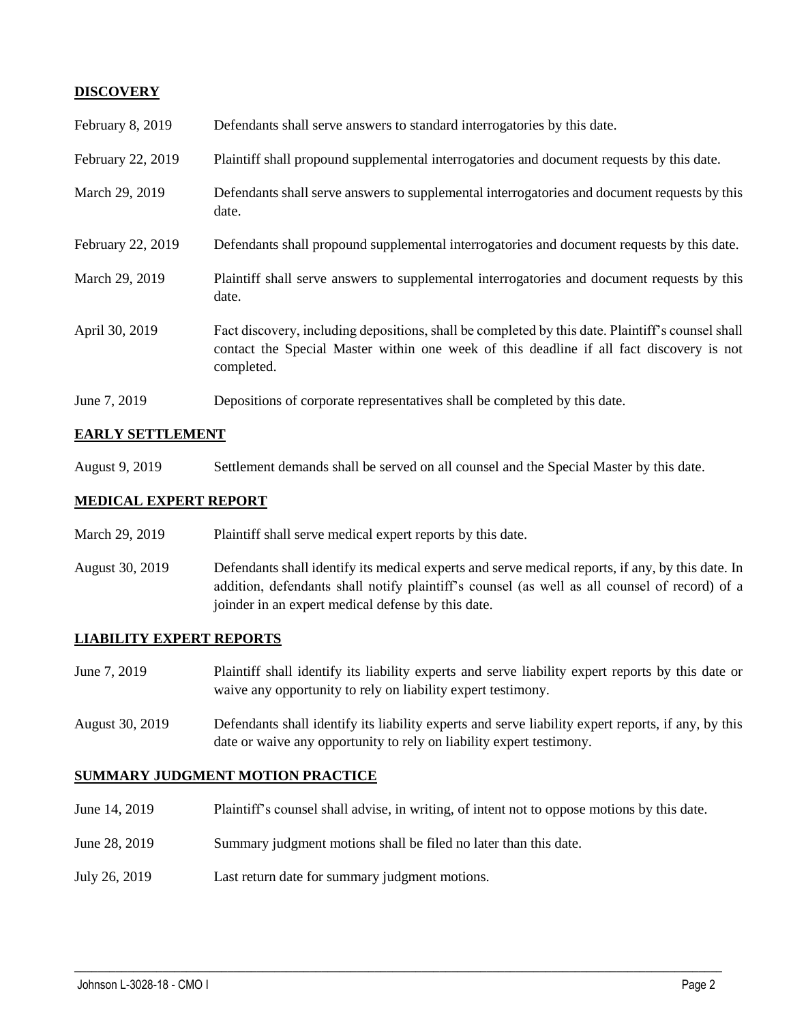## **DISCOVERY**

| February 8, 2019  | Defendants shall serve answers to standard interrogatories by this date.                                                                                                                                    |
|-------------------|-------------------------------------------------------------------------------------------------------------------------------------------------------------------------------------------------------------|
| February 22, 2019 | Plaintiff shall propound supplemental interrogatories and document requests by this date.                                                                                                                   |
| March 29, 2019    | Defendants shall serve answers to supplemental interrogatories and document requests by this<br>date.                                                                                                       |
| February 22, 2019 | Defendants shall propound supplemental interrogatories and document requests by this date.                                                                                                                  |
| March 29, 2019    | Plaintiff shall serve answers to supplemental interrogatories and document requests by this<br>date.                                                                                                        |
| April 30, 2019    | Fact discovery, including depositions, shall be completed by this date. Plaintiff's counsel shall<br>contact the Special Master within one week of this deadline if all fact discovery is not<br>completed. |
| June 7, 2019      | Depositions of corporate representatives shall be completed by this date.                                                                                                                                   |

### **EARLY SETTLEMENT**

August 9, 2019 Settlement demands shall be served on all counsel and the Special Master by this date.

### **MEDICAL EXPERT REPORT**

- March 29, 2019 Plaintiff shall serve medical expert reports by this date.
- August 30, 2019 Defendants shall identify its medical experts and serve medical reports, if any, by this date. In addition, defendants shall notify plaintiff's counsel (as well as all counsel of record) of a joinder in an expert medical defense by this date.

#### **LIABILITY EXPERT REPORTS**

- June 7, 2019 Plaintiff shall identify its liability experts and serve liability expert reports by this date or waive any opportunity to rely on liability expert testimony.
- August 30, 2019 Defendants shall identify its liability experts and serve liability expert reports, if any, by this date or waive any opportunity to rely on liability expert testimony.

#### **SUMMARY JUDGMENT MOTION PRACTICE**

June 14, 2019 Plaintiff's counsel shall advise, in writing, of intent not to oppose motions by this date.

 $\_$  ,  $\_$  ,  $\_$  ,  $\_$  ,  $\_$  ,  $\_$  ,  $\_$  ,  $\_$  ,  $\_$  ,  $\_$  ,  $\_$  ,  $\_$  ,  $\_$  ,  $\_$  ,  $\_$  ,  $\_$  ,  $\_$  ,  $\_$  ,  $\_$  ,  $\_$  ,  $\_$  ,  $\_$  ,  $\_$  ,  $\_$  ,  $\_$  ,  $\_$  ,  $\_$  ,  $\_$  ,  $\_$  ,  $\_$  ,  $\_$  ,  $\_$  ,  $\_$  ,  $\_$  ,  $\_$  ,  $\_$  ,  $\_$  ,

- June 28, 2019 Summary judgment motions shall be filed no later than this date.
- July 26, 2019 Last return date for summary judgment motions.